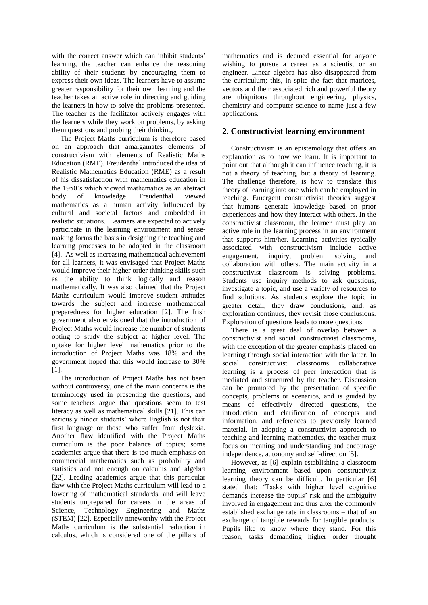with the correct answer which can inhibit students' learning, the teacher can enhance the reasoning ability of their students by encouraging them to express their own ideas. The learners have to assume greater responsibility for their own learning and the teacher takes an active role in directing and guiding the learners in how to solve the problems presented. The teacher as the facilitator actively engages with the learners while they work on problems, by asking them questions and probing their thinking.

The Project Maths curriculum is therefore based on an approach that amalgamates elements of constructivism with elements of Realistic Maths Education (RME). Freudenthal introduced the idea of Realistic Mathematics Education (RME) as a result of his dissatisfaction with mathematics education in the 1950's which viewed mathematics as an abstract body of knowledge. Freudenthal viewed mathematics as a human activity influenced by cultural and societal factors and embedded in realistic situations. Learners are expected to actively participate in the learning environment and sensemaking forms the basis in designing the teaching and learning processes to be adopted in the classroom [4]. As well as increasing mathematical achievement for all learners, it was envisaged that Project Maths would improve their higher order thinking skills such as the ability to think logically and reason mathematically. It was also claimed that the Project Maths curriculum would improve student attitudes towards the subject and increase mathematical preparedness for higher education [2]. The Irish government also envisioned that the introduction of Project Maths would increase the number of students opting to study the subject at higher level. The uptake for higher level mathematics prior to the introduction of Project Maths was 18% and the government hoped that this would increase to 30% [1].

The introduction of Project Maths has not been without controversy, one of the main concerns is the terminology used in presenting the questions, and some teachers argue that questions seem to test literacy as well as mathematical skills [21]. This can seriously hinder students' where English is not their first language or those who suffer from dyslexia. Another flaw identified with the Project Maths curriculum is the poor balance of topics; some academics argue that there is too much emphasis on commercial mathematics such as probability and statistics and not enough on calculus and algebra [22]. Leading academics argue that this particular flaw with the Project Maths curriculum will lead to a lowering of mathematical standards, and will leave students unprepared for careers in the areas of Science, Technology Engineering and Maths (STEM) [22]. Especially noteworthy with the Project Maths curriculum is the substantial reduction in calculus, which is considered one of the pillars of

mathematics and is deemed essential for anyone wishing to pursue a career as a scientist or an engineer. Linear algebra has also disappeared from the curriculum; this, in spite the fact that matrices, vectors and their associated rich and powerful theory are ubiquitous throughout engineering, physics, chemistry and computer science to name just a few applications.

# **2. Constructivist learning environment**

Constructivism is an epistemology that offers an explanation as to how we learn. It is important to point out that although it can influence teaching, it is not a theory of teaching, but a theory of learning. The challenge therefore, is how to translate this theory of learning into one which can be employed in teaching. Emergent constructivist theories suggest that humans generate knowledge based on prior experiences and how they interact with others. In the constructivist classroom, the learner must play an active role in the learning process in an environment that supports him/her. Learning activities typically associated with constructivism include active engagement, inquiry, problem solving and collaboration with others. The main activity in a constructivist classroom is solving problems. Students use inquiry methods to ask questions, investigate a topic, and use a variety of resources to find solutions. As students explore the topic in greater detail, they draw conclusions, and, as exploration continues, they revisit those conclusions. Exploration of questions leads to more questions.

There is a great deal of overlap between a constructivist and social constructivist classrooms, with the exception of the greater emphasis placed on learning through social interaction with the latter. In social constructivist classrooms collaborative learning is a process of peer interaction that is mediated and structured by the teacher. Discussion can be promoted by the presentation of specific concepts, problems or scenarios, and is guided by means of effectively directed questions, the introduction and clarification of concepts and information, and references to previously learned material. In adopting a constructivist approach to teaching and learning mathematics, the teacher must focus on meaning and understanding and encourage independence, autonomy and self-direction [5].

However, as [6] explain establishing a classroom learning environment based upon constructivist learning theory can be difficult. In particular [6] stated that: 'Tasks with higher level cognitive demands increase the pupils' risk and the ambiguity involved in engagement and thus alter the commonly established exchange rate in classrooms – that of an exchange of tangible rewards for tangible products. Pupils like to know where they stand. For this reason, tasks demanding higher order thought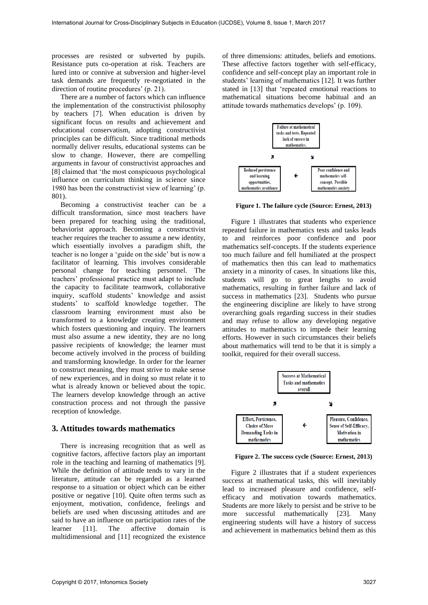processes are resisted or subverted by pupils. Resistance puts co-operation at risk. Teachers are lured into or connive at subversion and higher-level task demands are frequently re-negotiated in the direction of routine procedures' (p. 21).

There are a number of factors which can influence the implementation of the constructivist philosophy by teachers [7]. When education is driven by significant focus on results and achievement and educational conservatism, adopting constructivist principles can be difficult. Since traditional methods normally deliver results, educational systems can be slow to change. However, there are compelling arguments in favour of constructivist approaches and [8] claimed that 'the most conspicuous psychological influence on curriculum thinking in science since 1980 has been the constructivist view of learning' (p. 801).

Becoming a constructivist teacher can be a difficult transformation, since most teachers have been prepared for teaching using the traditional, behaviorist approach. Becoming a constructivist teacher requires the teacher to assume a new identity, which essentially involves a paradigm shift, the teacher is no longer a 'guide on the side' but is now a facilitator of learning. This involves considerable personal change for teaching personnel. The teachers' professional practice must adapt to include the capacity to facilitate teamwork, collaborative inquiry, scaffold students' knowledge and assist students' to scaffold knowledge together. The classroom learning environment must also be transformed to a knowledge creating environment which fosters questioning and inquiry. The learners must also assume a new identity, they are no long passive recipients of knowledge; the learner must become actively involved in the process of building and transforming knowledge. In order for the learner to construct meaning, they must strive to make sense of new experiences, and in doing so must relate it to what is already known or believed about the topic. The learners develop knowledge through an active construction process and not through the passive reception of knowledge.

## **3. Attitudes towards mathematics**

There is increasing recognition that as well as cognitive factors, affective factors play an important role in the teaching and learning of mathematics [9]. While the definition of attitude tends to vary in the literature, attitude can be regarded as a learned response to a situation or object which can be either positive or negative [10]. Quite often terms such as enjoyment, motivation, confidence, feelings and beliefs are used when discussing attitudes and are said to have an influence on participation rates of the learner [11]. The affective domain is multidimensional and [11] recognized the existence

of three dimensions: attitudes, beliefs and emotions. These affective factors together with self-efficacy, confidence and self-concept play an important role in students' learning of mathematics [12]. It was further stated in [13] that 'repeated emotional reactions to mathematical situations become habitual and an attitude towards mathematics develops' (p. 109).



**Figure 1. The failure cycle (Source: Ernest, 2013)** 

Figure 1 illustrates that students who experience repeated failure in mathematics tests and tasks leads to and reinforces poor confidence and poor mathematics self-concepts. If the students experience too much failure and fell humiliated at the prospect of mathematics then this can lead to mathematics anxiety in a minority of cases. In situations like this, students will go to great lengths to avoid mathematics, resulting in further failure and lack of success in mathematics [23]. Students who pursue the engineering discipline are likely to have strong overarching goals regarding success in their studies and may refuse to allow any developing negative attitudes to mathematics to impede their learning efforts. However in such circumstances their beliefs about mathematics will tend to be that it is simply a toolkit, required for their overall success.



**Figure 2. The success cycle (Source: Ernest, 2013)** 

Figure 2 illustrates that if a student experiences success at mathematical tasks, this will inevitably lead to increased pleasure and confidence, selfefficacy and motivation towards mathematics. Students are more likely to persist and be strive to be more successful mathematically [23]. Many engineering students will have a history of success and achievement in mathematics behind them as this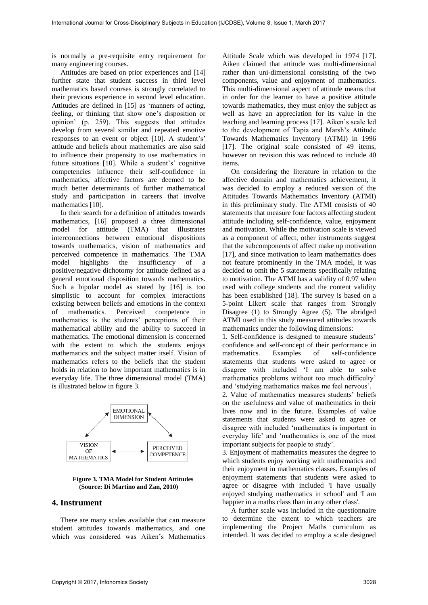is normally a pre-requisite entry requirement for many engineering courses.

Attitudes are based on prior experiences and [14] further state that student success in third level mathematics based courses is strongly correlated to their previous experience in second level education. Attitudes are defined in [15] as 'manners of acting, feeling, or thinking that show one's disposition or opinion' (p. 259). This suggests that attitudes develop from several similar and repeated emotive responses to an event or object [10]. A student's' attitude and beliefs about mathematics are also said to influence their propensity to use mathematics in future situations [10]. While a student's' cognitive competencies influence their self-confidence in mathematics, affective factors are deemed to be much better determinants of further mathematical study and participation in careers that involve mathematics [10].

In their search for a definition of attitudes towards mathematics, [16] proposed a three dimensional model for attitude (TMA) that illustrates interconnections between emotional dispositions towards mathematics, vision of mathematics and perceived competence in mathematics. The TMA model highlights the insufficiency of a positive/negative dichotomy for attitude defined as a general emotional disposition towards mathematics. Such a bipolar model as stated by [16] is too simplistic to account for complex interactions existing between beliefs and emotions in the context of mathematics. Perceived competence in mathematics is the students' perceptions of their mathematical ability and the ability to succeed in mathematics. The emotional dimension is concerned with the extent to which the students enjoys mathematics and the subject matter itself. Vision of mathematics refers to the beliefs that the student holds in relation to how important mathematics is in everyday life. The three dimensional model (TMA) is illustrated below in figure 3.



**Figure 3. TMA Model for Student Attitudes (Source: Di Martino and Zan, 2010)** 

# **4. Instrument**

There are many scales available that can measure student attitudes towards mathematics, and one which was considered was Aiken's Mathematics

Attitude Scale which was developed in 1974 [17]. Aiken claimed that attitude was multi-dimensional rather than uni-dimensional consisting of the two components, value and enjoyment of mathematics. This multi-dimensional aspect of attitude means that in order for the learner to have a positive attitude towards mathematics, they must enjoy the subject as well as have an appreciation for its value in the teaching and learning process [17]. Aiken's scale led to the development of Tapia and Marsh's Attitude Towards Mathematics Inventory (ATMI) in 1996 [17]. The original scale consisted of 49 items, however on revision this was reduced to include 40 items.

On considering the literature in relation to the affective domain and mathematics achievement, it was decided to employ a reduced version of the Attitudes Towards Mathematics Inventory (ATMI) in this preliminary study. The ATMI consists of 40 statements that measure four factors affecting student attitude including self-confidence, value, enjoyment and motivation. While the motivation scale is viewed as a component of affect, other instruments suggest that the subcomponents of affect make up motivation [17], and since motivation to learn mathematics does not feature prominently in the TMA model, it was decided to omit the 5 statements specifically relating to motivation. The ATMI has a validity of 0.97 when used with college students and the content validity has been established [18]. The survey is based on a 5-point Likert scale that ranges from Strongly Disagree (1) to Strongly Agree (5). The abridged ATMI used in this study measured attitudes towards mathematics under the following dimensions:

1. Self-confidence is designed to measure students' confidence and self-concept of their performance in mathematics. Examples of self-confidence statements that students were asked to agree or disagree with included 'I am able to solve mathematics problems without too much difficulty' and 'studying mathematics makes me feel nervous'.

2. Value of mathematics measures students' beliefs on the usefulness and value of mathematics in their lives now and in the future. Examples of value statements that students were asked to agree or disagree with included 'mathematics is important in everyday life' and 'mathematics is one of the most important subjects for people to study'.

3. Enjoyment of mathematics measures the degree to which students enjoy working with mathematics and their enjoyment in mathematics classes. Examples of enjoyment statements that students were asked to agree or disagree with included 'I have usually enjoyed studying mathematics in school' and 'I am happier in a maths class than in any other class'.

A further scale was included in the questionnaire to determine the extent to which teachers are implementing the Project Maths curriculum as intended. It was decided to employ a scale designed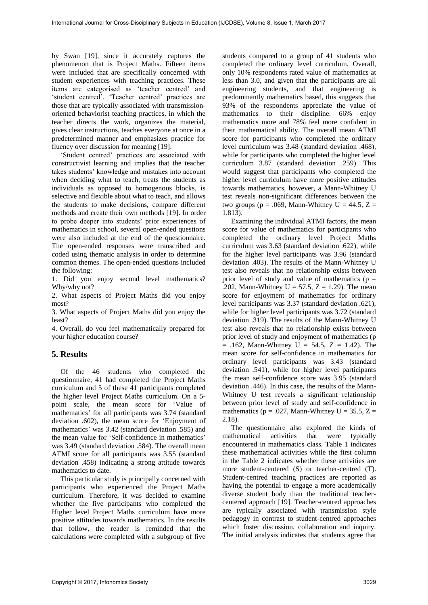by Swan [19], since it accurately captures the phenomenon that is Project Maths. Fifteen items were included that are specifically concerned with student experiences with teaching practices. These items are categorised as 'teacher centred' and 'student centred'. 'Teacher centred' practices are those that are typically associated with transmissionoriented behaviorist teaching practices, in which the teacher directs the work, organizes the material, gives clear instructions, teaches everyone at once in a predetermined manner and emphasizes practice for fluency over discussion for meaning [19].

'Student centred' practices are associated with constructivist learning and implies that the teacher takes students' knowledge and mistakes into account when deciding what to teach, treats the students as individuals as opposed to homogenous blocks, is selective and flexible about what to teach, and allows the students to make decisions, compare different methods and create their own methods [19]. In order to probe deeper into students' prior experiences of mathematics in school, several open-ended questions were also included at the end of the questionnaire. The open-ended responses were transcribed and coded using thematic analysis in order to determine common themes. The open-ended questions included the following:

1. Did you enjoy second level mathematics? Why/why not?

2. What aspects of Project Maths did you enjoy most?

3. What aspects of Project Maths did you enjoy the least?

4. Overall, do you feel mathematically prepared for your higher education course?

## **5. Results**

Of the 46 students who completed the questionnaire, 41 had completed the Project Maths curriculum and 5 of these 41 participants completed the higher level Project Maths curriculum. On a 5 point scale, the mean score for 'Value of mathematics' for all participants was 3.74 (standard deviation .602), the mean score for 'Enjoyment of mathematics' was 3.42 (standard deviation .585) and the mean value for 'Self-confidence in mathematics' was 3.49 (standard deviation .584). The overall mean ATMI score for all participants was 3.55 (standard deviation .458) indicating a strong attitude towards mathematics to date.

This particular study is principally concerned with participants who experienced the Project Maths curriculum. Therefore, it was decided to examine whether the five participants who completed the Higher level Project Maths curriculum have more positive attitudes towards mathematics. In the results that follow, the reader is reminded that the calculations were completed with a subgroup of five

students compared to a group of 41 students who completed the ordinary level curriculum. Overall, only 10% respondents rated value of mathematics at less than 3.0, and given that the participants are all engineering students, and that engineering is predominantly mathematics based, this suggests that 93% of the respondents appreciate the value of mathematics to their discipline. 66% enjoy mathematics more and 78% feel more confident in their mathematical ability. The overall mean ATMI score for participants who completed the ordinary level curriculum was 3.48 (standard deviation .468), while for participants who completed the higher level curriculum 3.87 (standard deviation .259). This would suggest that participants who completed the higher level curriculum have more positive attitudes towards mathematics, however, a Mann-Whitney U test reveals non-significant differences between the two groups ( $p = .069$ , Mann-Whitney U = 44.5, Z = 1.813).

Examining the individual ATMI factors, the mean score for value of mathematics for participants who completed the ordinary level Project Maths curriculum was 3.63 (standard deviation .622), while for the higher level participants was 3.96 (standard deviation .403). The results of the Mann-Whitney U test also reveals that no relationship exists between prior level of study and value of mathematics ( $p =$ .202, Mann-Whitney  $U = 57.5$ ,  $Z = 1.29$ ). The mean score for enjoyment of mathematics for ordinary level participants was 3.37 (standard deviation .621), while for higher level participants was 3.72 (standard deviation .319). The results of the Mann-Whitney U test also reveals that no relationship exists between prior level of study and enjoyment of mathematics (p  $= .162$ , Mann-Whitney U = 54.5, Z = 1.42). The mean score for self-confidence in mathematics for ordinary level participants was 3.43 (standard deviation .541), while for higher level participants the mean self-confidence score was 3.95 (standard deviation .446). In this case, the results of the Mann-Whitney U test reveals a significant relationship between prior level of study and self-confidence in mathematics ( $p = .027$ , Mann-Whitney U = 35.5, Z = 2.18).

The questionnaire also explored the kinds of mathematical activities that were typically encountered in mathematics class. Table 1 indicates these mathematical activities while the first column in the Table 2 indicates whether these activities are more student-centered (S) or teacher-centred (T). Student-centred teaching practices are reported as having the potential to engage a more academically diverse student body than the traditional teachercentered approach [19]. Teacher-centred approaches are typically associated with transmission style pedagogy in contrast to student-centred approaches which foster discussion, collaboration and inquiry. The initial analysis indicates that students agree that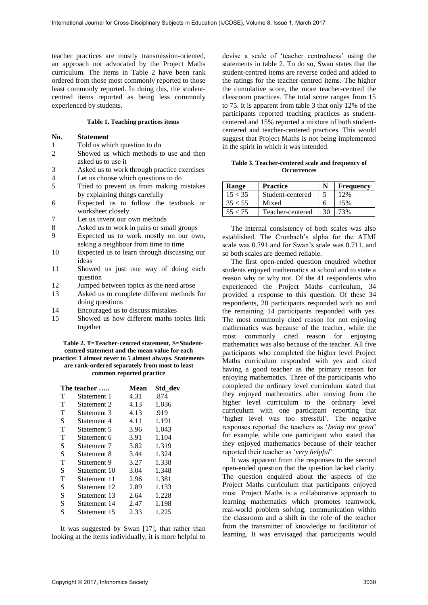teacher practices are mostly transmission-oriented, an approach not advocated by the Project Maths curriculum. The items in Table 2 have been rank ordered from those most commonly reported to those least commonly reported. In doing this, the studentcentred items reported as being less commonly experienced by students.

### **Table 1. Teaching practices items**

### **No. Statement**

- 1 Told us which question to do<br>2 Showed us which methods to
- Showed us which methods to use and then asked us to use it
- $3$  Asked us to work through practice exercises  $4$  Let us choose which questions to do
- 4 Let us choose which questions to do<br>5 Tried to prevent us from making n
- 5 Tried to prevent us from making mistakes by explaining things carefully
- 6 Expected us to follow the textbook or worksheet closely
- 7 Let us invent our own methods
- 8 Asked us to work in pairs or small groups
- 9 Expected us to work mostly on our own, asking a neighbour from time to time
- 10 Expected us to learn through discussing our ideas
- 11 Showed us just one way of doing each question
- 12 Jumped between topics as the need arose
- 13 Asked us to complete different methods for doing questions
- 14 Encouraged us to discuss mistakes
- 15 Showed us how different maths topics link together

**Table 2. T=Teacher-centred statement, S=Studentcentred statement and the mean value for each practice: 1 almost never to 5 almost always. Statements are rank-ordered separately from most to least common reported practice** 

| The teacher |              | Mean | Std dev |
|-------------|--------------|------|---------|
| T           | Statement 1  | 4.31 | .874    |
| T           | Statement 2  | 4.13 | 1.036   |
| T           | Statement 3  | 4.13 | .919    |
| S           | Statement 4  | 4.11 | 1.191   |
| T           | Statement 5  | 3.96 | 1.043   |
| т           | Statement 6  | 3.91 | 1.104   |
| S           | Statement 7  | 3.82 | 1.319   |
| S           | Statement 8  | 3.44 | 1.324   |
| т           | Statement 9  | 3.27 | 1.338   |
| S           | Statement 10 | 3.04 | 1.348   |
| T           | Statement 11 | 2.96 | 1.381   |
| S           | Statement 12 | 2.89 | 1.133   |
| S           | Statement 13 | 2.64 | 1.228   |
| S           | Statement 14 | 2.47 | 1.198   |
| S           | Statement 15 | 2.33 | 1.225   |

It was suggested by Swan [17], that rather than looking at the items individually, it is more helpful to

devise a scale of 'teacher centredness' using the statements in table 2. To do so, Swan states that the student-centred items are reverse coded and added to the ratings for the teacher-centred items. The higher the cumulative score, the more teacher-centred the classroom practices. The total score ranges from 15 to 75. It is apparent from table 3 that only 12% of the participants reported teaching practices as studentcentered and 15% reported a mixture of both studentcentered and teacher-centered practices. This would suggest that Project Maths is not being implemented in the spirit in which it was intended.

#### **Table 3. Teacher-centered scale and frequency of Occurrences**

| Range   | <b>Practice</b>  |    | <b>Frequency</b> |
|---------|------------------|----|------------------|
| 15 < 35 | Student-centered |    | 12%              |
| 35 < 55 | Mixed            |    | 15%              |
| 55 < 75 | Teacher-centered | 30 | 73%              |

The internal consistency of both scales was also established. The Cronbach's alpha for the ATMI scale was 0.791 and for Swan's scale was 0.711, and so both scales are deemed reliable.

The first open-ended question enquired whether students enjoyed mathematics at school and to state a reason why or why not. Of the 41 respondents who experienced the Project Maths curriculum, 34 provided a response to this question. Of these 34 respondents, 20 participants responded with no and the remaining 14 participants responded with yes. The most commonly cited reason for not enjoying mathematics was because of the teacher, while the most commonly cited reason for enjoying mathematics was also because of the teacher. All five participants who completed the higher level Project Maths curriculum responded with yes and cited having a good teacher as the primary reason for enjoying mathematics. Three of the participants who completed the ordinary level curriculum stated that they enjoyed mathematics after moving from the higher level curriculum to the ordinary level curriculum with one participant reporting that 'higher level was too stressful'. The negative responses reported the teachers as '*being not great*' for example, while one participant who stated that they enjoyed mathematics because of their teacher reported their teacher as '*very helpful*'.

It was apparent from the responses to the second open-ended question that the question lacked clarity. The question enquired about the aspects of the Project Maths curriculum that participants enjoyed most. Project Maths is a collaborative approach to learning mathematics which promotes teamwork, real-world problem solving, communication within the classroom and a shift in the role of the teacher from the transmitter of knowledge to facilitator of learning. It was envisaged that participants would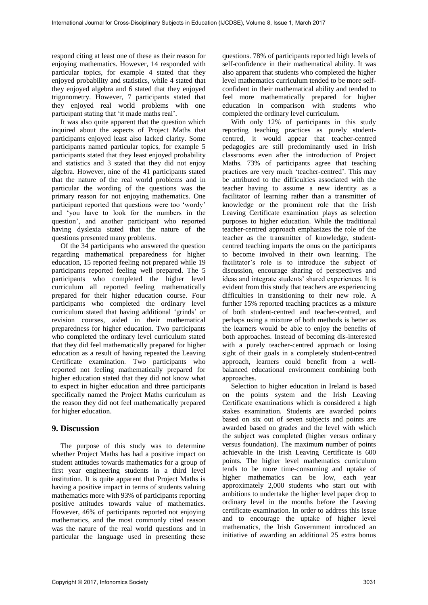respond citing at least one of these as their reason for enjoying mathematics. However, 14 responded with particular topics, for example 4 stated that they enjoyed probability and statistics, while 4 stated that they enjoyed algebra and 6 stated that they enjoyed trigonometry. However, 7 participants stated that they enjoyed real world problems with one participant stating that 'it made maths real'.

It was also quite apparent that the question which inquired about the aspects of Project Maths that participants enjoyed least also lacked clarity. Some participants named particular topics, for example 5 participants stated that they least enjoyed probability and statistics and 3 stated that they did not enjoy algebra. However, nine of the 41 participants stated that the nature of the real world problems and in particular the wording of the questions was the primary reason for not enjoying mathematics. One participant reported that questions were too 'wordy' and 'you have to look for the numbers in the question', and another participant who reported having dyslexia stated that the nature of the questions presented many problems.

Of the 34 participants who answered the question regarding mathematical preparedness for higher education, 15 reported feeling not prepared while 19 participants reported feeling well prepared. The 5 participants who completed the higher level curriculum all reported feeling mathematically prepared for their higher education course. Four participants who completed the ordinary level curriculum stated that having additional 'grinds' or revision courses, aided in their mathematical preparedness for higher education. Two participants who completed the ordinary level curriculum stated that they did feel mathematically prepared for higher education as a result of having repeated the Leaving Certificate examination. Two participants who reported not feeling mathematically prepared for higher education stated that they did not know what to expect in higher education and three participants specifically named the Project Maths curriculum as the reason they did not feel mathematically prepared for higher education.

# **9. Discussion**

The purpose of this study was to determine whether Project Maths has had a positive impact on student attitudes towards mathematics for a group of first year engineering students in a third level institution. It is quite apparent that Project Maths is having a positive impact in terms of students valuing mathematics more with 93% of participants reporting positive attitudes towards value of mathematics. However, 46% of participants reported not enjoying mathematics, and the most commonly cited reason was the nature of the real world questions and in particular the language used in presenting these

questions. 78% of participants reported high levels of self-confidence in their mathematical ability. It was also apparent that students who completed the higher level mathematics curriculum tended to be more selfconfident in their mathematical ability and tended to feel more mathematically prepared for higher education in comparison with students who completed the ordinary level curriculum.

With only 12% of participants in this study reporting teaching practices as purely studentcentred, it would appear that teacher-centred pedagogies are still predominantly used in Irish classrooms even after the introduction of Project Maths. 73% of participants agree that teaching practices are very much 'teacher-centred'. This may be attributed to the difficulties associated with the teacher having to assume a new identity as a facilitator of learning rather than a transmitter of knowledge or the prominent role that the Irish Leaving Certificate examination plays as selection purposes to higher education. While the traditional teacher-centred approach emphasizes the role of the teacher as the transmitter of knowledge, studentcentred teaching imparts the onus on the participants to become involved in their own learning. The facilitator's role is to introduce the subject of discussion, encourage sharing of perspectives and ideas and integrate students' shared experiences. It is evident from this study that teachers are experiencing difficulties in transitioning to their new role. A further 15% reported teaching practices as a mixture of both student-centred and teacher-centred, and perhaps using a mixture of both methods is better as the learners would be able to enjoy the benefits of both approaches. Instead of becoming dis-interested with a purely teacher-centred approach or losing sight of their goals in a completely student-centred approach, learners could benefit from a wellbalanced educational environment combining both approaches.

Selection to higher education in Ireland is based on the points system and the Irish Leaving Certificate examinations which is considered a high stakes examination. Students are awarded points based on six out of seven subjects and points are awarded based on grades and the level with which the subject was completed (higher versus ordinary versus foundation). The maximum number of points achievable in the Irish Leaving Certificate is 600 points. The higher level mathematics curriculum tends to be more time-consuming and uptake of higher mathematics can be low, each year approximately 2,000 students who start out with ambitions to undertake the higher level paper drop to ordinary level in the months before the Leaving certificate examination. In order to address this issue and to encourage the uptake of higher level mathematics, the Irish Government introduced an initiative of awarding an additional 25 extra bonus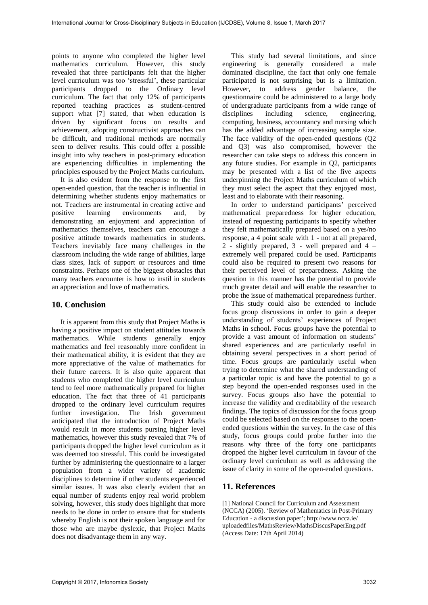points to anyone who completed the higher level mathematics curriculum. However, this study revealed that three participants felt that the higher level curriculum was too 'stressful', these particular participants dropped to the Ordinary level curriculum. The fact that only 12% of participants reported teaching practices as student-centred support what [7] stated, that when education is driven by significant focus on results and achievement, adopting constructivist approaches can be difficult, and traditional methods are normally seen to deliver results. This could offer a possible insight into why teachers in post-primary education are experiencing difficulties in implementing the principles espoused by the Project Maths curriculum.

It is also evident from the response to the first open-ended question, that the teacher is influential in determining whether students enjoy mathematics or not. Teachers are instrumental in creating active and positive learning environments and, by demonstrating an enjoyment and appreciation of mathematics themselves, teachers can encourage a positive attitude towards mathematics in students. Teachers inevitably face many challenges in the classroom including the wide range of abilities, large class sizes, lack of support or resources and time constraints. Perhaps one of the biggest obstacles that many teachers encounter is how to instil in students an appreciation and love of mathematics.

## **10. Conclusion**

It is apparent from this study that Project Maths is having a positive impact on student attitudes towards mathematics. While students generally enjoy mathematics and feel reasonably more confident in their mathematical ability, it is evident that they are more appreciative of the value of mathematics for their future careers. It is also quite apparent that students who completed the higher level curriculum tend to feel more mathematically prepared for higher education. The fact that three of 41 participants dropped to the ordinary level curriculum requires further investigation. The Irish government anticipated that the introduction of Project Maths would result in more students pursing higher level mathematics, however this study revealed that 7% of participants dropped the higher level curriculum as it was deemed too stressful. This could be investigated further by administering the questionnaire to a larger population from a wider variety of academic disciplines to determine if other students experienced similar issues. It was also clearly evident that an equal number of students enjoy real world problem solving, however, this study does highlight that more needs to be done in order to ensure that for students whereby English is not their spoken language and for those who are maybe dyslexic, that Project Maths does not disadvantage them in any way.

This study had several limitations, and since engineering is generally considered a male dominated discipline, the fact that only one female participated is not surprising but is a limitation. However, to address gender balance, the questionnaire could be administered to a large body of undergraduate participants from a wide range of disciplines including science, engineering, engineering, computing, business, accountancy and nursing which has the added advantage of increasing sample size. The face validity of the open-ended questions (Q2 and Q3) was also compromised, however the researcher can take steps to address this concern in any future studies. For example in Q2, participants may be presented with a list of the five aspects underpinning the Project Maths curriculum of which they must select the aspect that they enjoyed most, least and to elaborate with their reasoning.

In order to understand participants' perceived mathematical preparedness for higher education, instead of requesting participants to specify whether they felt mathematically prepared based on a yes/no response, a 4 point scale with 1 - not at all prepared, 2 - slightly prepared, 3 - well prepared and 4 – extremely well prepared could be used. Participants could also be required to present two reasons for their perceived level of preparedness. Asking the question in this manner has the potential to provide much greater detail and will enable the researcher to probe the issue of mathematical preparedness further.

This study could also be extended to include focus group discussions in order to gain a deeper understanding of students' experiences of Project Maths in school. Focus groups have the potential to provide a vast amount of information on students' shared experiences and are particularly useful in obtaining several perspectives in a short period of time. Focus groups are particularly useful when trying to determine what the shared understanding of a particular topic is and have the potential to go a step beyond the open-ended responses used in the survey. Focus groups also have the potential to increase the validity and creditability of the research findings. The topics of discussion for the focus group could be selected based on the responses to the openended questions within the survey. In the case of this study, focus groups could probe further into the reasons why three of the forty one participants dropped the higher level curriculum in favour of the ordinary level curriculum as well as addressing the issue of clarity in some of the open-ended questions.

# **11. References**

[1] National Council for Curriculum and Assessment (NCCA) (2005). 'Review of Mathematics in Post-Primary Education - a discussion paper'; http://www.ncca.ie/ uploadedfiles/MathsReview/MathsDiscusPaperEng.pdf (Access Date: 17th April 2014)